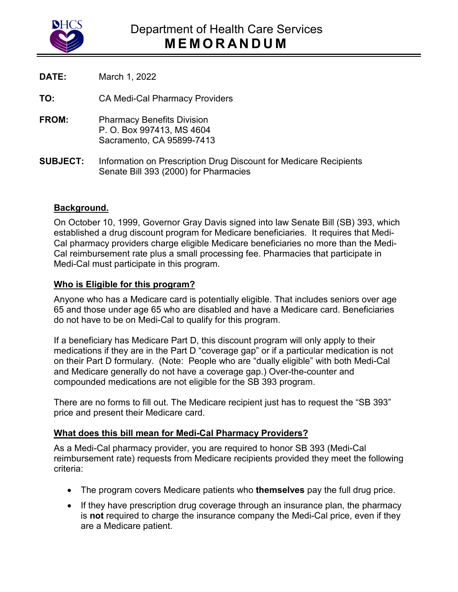

**DATE:** March 1, 2022

**TO:** CA Medi-Cal Pharmacy Providers

- **FROM:** Pharmacy Benefits Division P. O. Box 997413, MS 4604 Sacramento, CA 95899-7413
- **SUBJECT:** Information on Prescription Drug Discount for Medicare Recipients Senate Bill 393 (2000) for Pharmacies

## **Background.**

 On October 10, 1999, Governor Gray Davis signed into law Senate Bill (SB) 393, which established a drug discount program for Medicare beneficiaries. It requires that Medi-Cal pharmacy providers charge eligible Medicare beneficiaries no more than the Medi-Cal reimbursement rate plus a small processing fee. Pharmacies that participate in Medi-Cal must participate in this program.

## **Who is Eligible for this program?**

Anyone who has a Medicare card is potentially eligible. That includes seniors over age 65 and those under age 65 who are disabled and have a Medicare card. Beneficiaries do not have to be on Medi-Cal to qualify for this program.

If a beneficiary has Medicare Part D, this discount program will only apply to their medications if they are in the Part D "coverage gap" or if a particular medication is not on their Part D formulary. (Note: People who are "dually eligible" with both Medi-Cal and Medicare generally do not have a coverage gap.) Over-the-counter and compounded medications are not eligible for the SB 393 program.

 There are no forms to fill out. The Medicare recipient just has to request the "SB 393" price and present their Medicare card.

## **What does this bill mean for Medi-Cal Pharmacy Providers?**

As a Medi-Cal pharmacy provider, you are required to honor SB 393 (Medi-Cal reimbursement rate) requests from Medicare recipients provided they meet the following criteria:

- The program covers Medicare patients who **themselves** pay the full drug price.
- If they have prescription drug coverage through an insurance plan, the pharmacy is **not** required to charge the insurance company the Medi-Cal price, even if they are a Medicare patient.